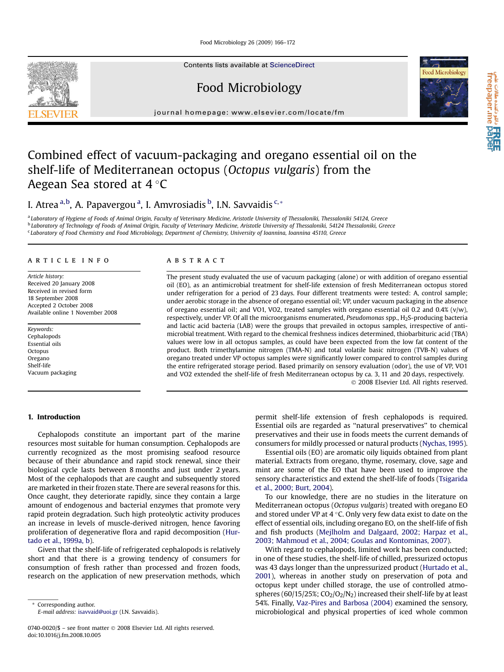Food Microbiology 26 (2009) 166–172

Contents lists available at [ScienceDirect](www.sciencedirect.com/science/journal/07400020)

Food Microbiology

journal homepage: [www.elsevier.com/locate/fm](http://www.elsevier.com/locate/fm)

# Combined effect of vacuum-packaging and oregano essential oil on the shelf-life of Mediterranean octopus (Octopus vulgaris) from the Aegean Sea stored at 4  $^{\circ}$ C

I. Atrea <sup>a,b</sup>, A. Papavergou <sup>a</sup>, I. Amvrosiadis <sup>b</sup>, I.N. Savvaidis <sup>c,</sup>\*

a Laboratory of Hygiene of Foods of Animal Origin, Faculty of Veterinary Medicine, Aristotle University of Thessaloniki, Thessaloniki 54124, Greece **b Laboratory of Technology of Foods of Animal Origin, Faculty of Veterinary Medicine, Aristotle University of Thessaloniki, 54124 Thessaloniki, Greece** <sup>c</sup> Laboratory of Food Chemistry and Food Microbiology, Department of Chemistry, University of Ioannina, Ioannina 45110, Greece

#### article info

Article history: Received 20 January 2008 Received in revised form 18 September 2008 Accepted 2 October 2008 Available online 1 November 2008

Keywords: Cephalopods Essential oils **Octopus** Oregano Shelf-life Vacuum packaging

## **ABSTRACT**

The present study evaluated the use of vacuum packaging (alone) or with addition of oregano essential oil (EO), as an antimicrobial treatment for shelf-life extension of fresh Mediterranean octopus stored under refrigeration for a period of 23 days. Four different treatments were tested: A, control sample; under aerobic storage in the absence of oregano essential oil; VP, under vacuum packaging in the absence of oregano essential oil; and VO1, VO2, treated samples with oregano essential oil 0.2 and 0.4% (v/w), respectively, under VP. Of all the microorganisms enumerated, Pseudomonas spp., H2S-producing bacteria and lactic acid bacteria (LAB) were the groups that prevailed in octopus samples, irrespective of antimicrobial treatment. With regard to the chemical freshness indices determined, thiobarbituric acid (TBA) values were low in all octopus samples, as could have been expected from the low fat content of the product. Both trimethylamine nitrogen (TMA-N) and total volatile basic nitrogen (TVB-N) values of oregano treated under VP octopus samples were significantly lower compared to control samples during the entire refrigerated storage period. Based primarily on sensory evaluation (odor), the use of VP, VO1 and VO2 extended the shelf-life of fresh Mediterranean octopus by ca. 3, 11 and 20 days, respectively. - 2008 Elsevier Ltd. All rights reserved.

#### 1. Introduction

Cephalopods constitute an important part of the marine resources most suitable for human consumption. Cephalopods are currently recognized as the most promising seafood resource because of their abundance and rapid stock renewal, since their biological cycle lasts between 8 months and just under 2 years. Most of the cephalopods that are caught and subsequently stored are marketed in their frozen state. There are several reasons for this. Once caught, they deteriorate rapidly, since they contain a large amount of endogenous and bacterial enzymes that promote very rapid protein degradation. Such high proteolytic activity produces an increase in levels of muscle-derived nitrogen, hence favoring proliferation of degenerative flora and rapid decomposition ([Hur](#page-6-0)[tado et al., 1999a, b](#page-6-0)).

Given that the shelf-life of refrigerated cephalopods is relatively short and that there is a growing tendency of consumers for consumption of fresh rather than processed and frozen foods, research on the application of new preservation methods, which

Corresponding author. E-mail address: [isavvaid@uoi.gr](mailto:isavvaid@uoi.gr) (I.N. Savvaidis). permit shelf-life extension of fresh cephalopods is required. Essential oils are regarded as ''natural preservatives'' to chemical preservatives and their use in foods meets the current demands of consumers for mildly processed or natural products [\(Nychas, 1995\)](#page-6-0).

Essential oils (EO) are aromatic oily liquids obtained from plant material. Extracts from oregano, thyme, rosemary, clove, sage and mint are some of the EO that have been used to improve the sensory characteristics and extend the shelf-life of foods ([Tsigarida](#page-6-0) [et al., 2000; Burt, 2004](#page-6-0)).

To our knowledge, there are no studies in the literature on Mediterranean octopus (Octopus vulgaris) treated with oregano EO and stored under VP at  $4^{\circ}$ C. Only very few data exist to date on the effect of essential oils, including oregano EO, on the shelf-life of fish and fish products [\(Mejlholm and Dalgaard, 2002; Harpaz et al.,](#page-6-0) [2003; Mahmoud et al., 2004; Goulas and Kontominas, 2007\)](#page-6-0).

With regard to cephalopods, limited work has been conducted; in one of these studies, the shelf-life of chilled, pressurized octopus was 43 days longer than the unpressurized product ([Hurtado et al.,](#page-6-0) [2001\)](#page-6-0), whereas in another study on preservation of pota and octopus kept under chilled storage, the use of controlled atmospheres (60/15/25%;  $CO<sub>2</sub>/O<sub>2</sub>/N<sub>2</sub>$ ) increased their shelf-life by at least 54%. Finally, [Vaz-Pires and Barbosa \(2004\)](#page-6-0) examined the sensory, microbiological and physical properties of iced whole common

a تا **PREE**<br>freepaper.me **pape** 



<sup>0740-0020/\$ –</sup> see front matter © 2008 Elsevier Ltd. All rights reserved. doi:10.1016/j.fm.2008.10.005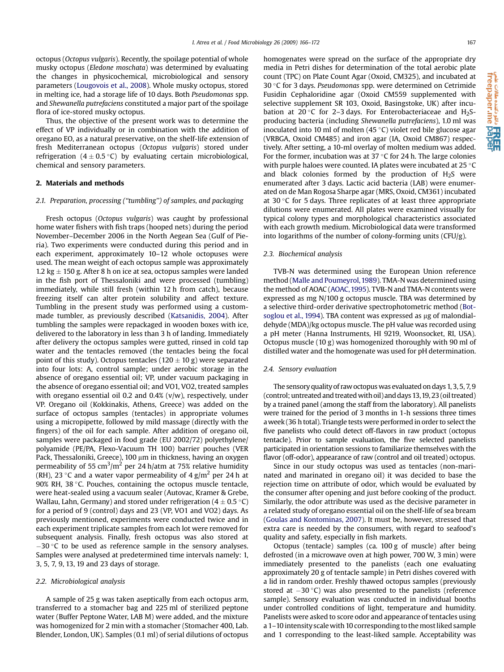octopus (Octopus vulgaris). Recently, the spoilage potential of whole musky octopus (Eledone moschata) was determined by evaluating the changes in physicochemical, microbiological and sensory parameters ([Lougovois et al., 2008](#page-6-0)). Whole musky octopus, stored in melting ice, had a storage life of 10 days. Both Pseudomonas spp. and Shewanella putrefaciens constituted a major part of the spoilage flora of ice-stored musky octopus.

Thus, the objective of the present work was to determine the effect of VP individually or in combination with the addition of oregano EO, as a natural preservative, on the shelf-life extension of fresh Mediterranean octopus (Octopus vulgaris) stored under refrigeration  $(4 \pm 0.5 \degree C)$  by evaluating certain microbiological, chemical and sensory parameters.

#### 2. Materials and methods

## 2.1. Preparation, processing (''tumbling'') of samples, and packaging

Fresh octopus (Octopus vulgaris) was caught by professional home water fishers with fish traps (hooped nets) during the period November–December 2006 in the North Aegean Sea (Gulf of Pieria). Two experiments were conducted during this period and in each experiment, approximately 10–12 whole octopuses were used. The mean weight of each octopus sample was approximately 1.2 kg  $\pm$  150 g. After 8 h on ice at sea, octopus samples were landed in the fish port of Thessaloniki and were processed (tumbling) immediately, while still fresh (within 12 h from catch), because freezing itself can alter protein solubility and affect texture. Tumbling in the present study was performed using a custommade tumbler, as previously described ([Katsanidis, 2004\)](#page-6-0). After tumbling the samples were repackaged in wooden boxes with ice, delivered to the laboratory in less than 3 h of landing. Immediately after delivery the octopus samples were gutted, rinsed in cold tap water and the tentacles removed (the tentacles being the focal point of this study). Octopus tentacles (120  $\pm$  10 g) were separated into four lots: A, control sample; under aerobic storage in the absence of oregano essential oil; VP, under vacuum packaging in the absence of oregano essential oil; and VO1, VO2, treated samples with oregano essential oil 0.2 and 0.4% (v/w), respectively, under VP. Oregano oil (Kokkinakis, Athens, Greece) was added on the surface of octopus samples (tentacles) in appropriate volumes using a micropipette, followed by mild massage (directly with the fingers) of the oil for each sample. After addition of oregano oil, samples were packaged in food grade (EU 2002/72) polyethylene/ polyamide (PE/PA, Flexo-Vacuum TH 100) barrier pouches (VER Pack, Thessaloniki, Greece), 100 µm in thickness, having an oxygen permeability of 55 cm<sup>3</sup>/m<sup>2</sup> per 24 h/atm at 75% relative humidity (RH), 23 °C and a water vapor permeability of 4 g/m<sup>2</sup> per 24 h at 90% RH, 38 °C. Pouches, containing the octopus muscle tentacle, were heat-sealed using a vacuum sealer (Autovac, Kramer & Grebe, Wallau, Lahn, Germany) and stored under refrigeration (4  $\pm$  0.5 °C) for a period of 9 (control) days and 23 (VP, VO1 and VO2) days. As previously mentioned, experiments were conducted twice and in each experiment triplicate samples from each lot were removed for subsequent analysis. Finally, fresh octopus was also stored at  $-30$  °C to be used as reference sample in the sensory analyses. Samples were analysed at predetermined time intervals namely: 1, 3, 5, 7, 9, 13, 19 and 23 days of storage.

#### 2.2. Microbiological analysis

A sample of 25 g was taken aseptically from each octopus arm, transferred to a stomacher bag and 225 ml of sterilized peptone water (Buffer Peptone Water, LAB M) were added, and the mixture was homogenized for 2 min with a stomacher (Stomacher 400, Lab. Blender, London, UK). Samples (0.1 ml) of serial dilutions of octopus homogenates were spread on the surface of the appropriate dry media in Petri dishes for determination of the total aerobic plate count (TPC) on Plate Count Agar (Oxoid, CM325), and incubated at 30 °C for 3 days. Pseudomonas spp. were determined on Cetrimide Fusidin Cephaloridine agar (Oxoid CM559 supplemented with selective supplement SR 103, Oxoid, Basingstoke, UK) after incubation at 20 $\degree$ C for 2–3 days. For Enterobacteriaceae and H<sub>2</sub>Sproducing bacteria (including Shewanella putrefaciens), 1.0 ml was inoculated into 10 ml of molten (45 $\degree$ C) violet red bile glucose agar (VRBGA, Oxoid CM485) and iron agar (IA, Oxoid CM867) respectively. After setting, a 10-ml overlay of molten medium was added. For the former, incubation was at 37  $\degree$ C for 24 h. The large colonies with purple haloes were counted. IA plates were incubated at 25  $\degree$ C and black colonies formed by the production of  $H_2S$  were enumerated after 3 days. Lactic acid bacteria (LAB) were enumerated on de Man Rogosa Sharpe agar (MRS, Oxoid, CM361) incubated at 30 $\degree$ C for 5 days. Three replicates of at least three appropriate dilutions were enumerated. All plates were examined visually for typical colony types and morphological characteristics associated with each growth medium. Microbiological data were transformed into logarithms of the number of colony-forming units (CFU/g).

#### 2.3. Biochemical analysis

TVB-N was determined using the European Union reference method [\(Malle and Poumeyrol,1989\)](#page-6-0). TMA-N was determined using the method of AOAC ([AOAC, 1995](#page-6-0)). TVB-N and TMA-N contents were expressed as mg N/100 g octopus muscle. TBA was determined by a selective third-order derivative spectrophotometric method ([Bot](#page-6-0)[soglou et al., 1994](#page-6-0)). TBA content was expressed as  $\mu$ g of malondialdehyde (MDA)/kg octopus muscle. The pH value was recorded using a pH meter (Hanna Instruments, HI 9219, Woonsocket, RI, USA). Octopus muscle (10 g) was homogenized thoroughly with 90 ml of distilled water and the homogenate was used for pH determination.

#### 2.4. Sensory evaluation

The sensory quality of raw octopus was evaluated on days 1, 3, 5, 7, 9 (control; untreated and treatedwith oil) and days 13,19, 23 (oil treated) by a trained panel (among the staff from the laboratory). All panelists were trained for the period of 3 months in 1-h sessions three times aweek (36 h total). Triangle tests were performed in order to select the five panelists who could detect off-flavors in raw product (octopus tentacle). Prior to sample evaluation, the five selected panelists participated in orientation sessions to familiarize themselves with the flavor (off-odor), appearance of raw (control and oil treated) octopus.

Since in our study octopus was used as tentacles (non-marinated and marinated in oregano oil) it was decided to base the rejection time on attribute of odor, which would be evaluated by the consumer after opening and just before cooking of the product. Similarly, the odor attribute was used as the decisive parameter in a related study of oregano essential oil on the shelf-life of sea bream ([Goulas and Kontominas, 2007\)](#page-6-0). It must be, however, stressed that extra care is needed by the consumers, with regard to seafood's quality and safety, especially in fish markets.

Octopus (tentacle) samples (ca. 100 g of muscle) after being defrosted (in a microwave oven at high power, 700 W, 3 min) were immediately presented to the panelists (each one evaluating approximately 20 g of tentacle sample) in Petri dishes covered with a lid in random order. Freshly thawed octopus samples (previously stored at  $-30$  °C) was also presented to the panelists (reference sample). Sensory evaluation was conducted in individual booths under controlled conditions of light, temperature and humidity. Panelists were asked to score odor and appearance of tentacles using a 1–10 intensity scalewith 10 corresponding to themostliked sample and 1 corresponding to the least-liked sample. Acceptability was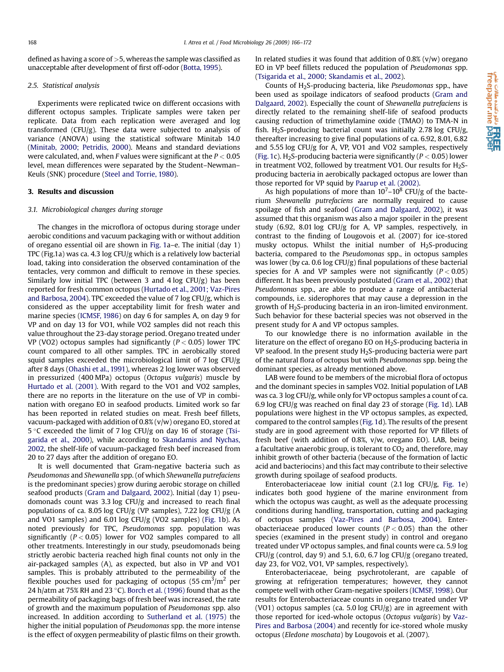defined as having a score of  $>$ 5, whereas the sample was classified as unacceptable after development of first off-odor ([Botta, 1995\)](#page-6-0).

#### 2.5. Statistical analysis

Experiments were replicated twice on different occasions with different octopus samples. Triplicate samples were taken per replicate. Data from each replication were averaged and log transformed (CFU/g). These data were subjected to analysis of variance (ANOVA) using the statistical software Minitab 14.0 ([Minitab, 2000; Petridis, 2000\)](#page-6-0). Means and standard deviations were calculated, and, when F values were significant at the  $P < 0.05$ level, mean differences were separated by the Student–Newman– Keuls (SNK) procedure ([Steel and Torrie, 1980\)](#page-6-0).

#### 3. Results and discussion

#### 3.1. Microbiological changes during storage

The changes in the microflora of octopus during storage under aerobic conditions and vacuum packaging with or without addition of oregano essential oil are shown in [Fig. 1](#page-3-0)a–e. The initial (day 1) TPC (Fig.1a) was ca. 4.3 log CFU/g which is a relatively low bacterial load, taking into consideration the observed contamination of the tentacles, very common and difficult to remove in these species. Similarly low initial TPC (between 3 and 4 log CFU/g) has been reported for fresh common octopus [\(Hurtado et al., 2001; Vaz-Pires](#page-6-0) [and Barbosa, 2004\)](#page-6-0). TPC exceeded the value of 7 log CFU/g, which is considered as the upper acceptability limit for fresh water and marine species ([ICMSF, 1986](#page-6-0)) on day 6 for samples A, on day 9 for VP and on day 13 for VO1, while VO2 samples did not reach this value throughout the 23-day storage period. Oregano treated under VP (VO2) octopus samples had significantly ( $P < 0.05$ ) lower TPC count compared to all other samples. TPC in aerobically stored squid samples exceeded the microbiological limit of 7 log CFU/g after 8 days [\(Ohashi et al., 1991](#page-6-0)), whereas 2 log lower was observed in pressurized (400 MPa) octopus (Octopus vulgaris) muscle by [Hurtado et al. \(2001\)](#page-6-0). With regard to the VO1 and VO2 samples, there are no reports in the literature on the use of VP in combination with oregano EO in seafood products. Limited work so far has been reported in related studies on meat. Fresh beef fillets, vacuum-packaged with addition of 0.8% (v/w) oregano EO, stored at 5 °C exceeded the limit of 7 log CFU/g on day 16 of storage [\(Tsi](#page-6-0)[garida et al., 2000\)](#page-6-0), while according to [Skandamis and Nychas,](#page-6-0) [2002](#page-6-0), the shelf-life of vacuum-packaged fresh beef increased from 20 to 27 days after the addition of oregano EO.

It is well documented that Gram-negative bacteria such as Pseudomonas and Shewanella spp. (of which Shewanella putrefaciens is the predominant species) grow during aerobic storage on chilled seafood products [\(Gram and Dalgaard, 2002\)](#page-6-0). Initial (day 1) pseudomonads count was 3.3 log CFU/g and increased to reach final populations of ca. 8.05 log CFU/g (VP samples), 7.22 log CFU/g (A and VO1 samples) and 6.01 log CFU/g (VO2 samples) [\(Fig. 1](#page-3-0)b). As noted previously for TPC, Pseudomonas spp. population was significantly ( $P < 0.05$ ) lower for VO2 samples compared to all other treatments. Interestingly in our study, pseudomonads being strictly aerobic bacteria reached high final counts not only in the air-packaged samples (A), as expected, but also in VP and VO1 samples. This is probably attributed to the permeability of the flexible pouches used for packaging of octopus (55 cm $^3/\rm{m}^2$  per 24 h/atm at 75% RH and 23 °C). [Borch et al. \(1996\)](#page-6-0) found that as the permeability of packaging bags of fresh beef was increased, the rate of growth and the maximum population of Pseudomonas spp. also increased. In addition according to [Sutherland et al. \(1975\)](#page-6-0) the higher the initial population of Pseudomonas spp. the more intense is the effect of oxygen permeability of plastic films on their growth. In related studies it was found that addition of  $0.8\%$  (v/w) oregano EO in VP beef fillets reduced the population of Pseudomonas spp. ([Tsigarida et al., 2000; Skandamis et al., 2002](#page-6-0)).

Counts of  $H_2$ S-producing bacteria, like *Pseudomonas* spp., have been used as spoilage indicators of seafood products [\(Gram and](#page-6-0) [Dalgaard, 2002](#page-6-0)). Especially the count of Shewanella putrefaciens is directly related to the remaining shelf-life of seafood products causing reduction of trimethylamine oxide (TMAO) to TMA-N in fish. H<sub>2</sub>S-producing bacterial count was initially 2.78 log CFU/g, thereafter increasing to give final populations of ca. 6.92, 8.01, 6.82 and 5.55 log CFU/g for A, VP, VO1 and VO2 samples, respectively ([Fig. 1c](#page-3-0)). H<sub>2</sub>S-producing bacteria were significantly ( $P < 0.05$ ) lower in treatment VO2, followed by treatment VO1. Our results for  $H_2S$ producing bacteria in aerobically packaged octopus are lower than those reported for VP squid by [Paarup et al. \(2002\)](#page-6-0).

As high populations of more than  $10^7 - 10^8$  CFU/g of the bacterium Shewanella putrefaciens are normally required to cause spoilage of fish and seafood [\(Gram and Dalgaard, 2002](#page-6-0)), it was assumed that this organism was also a major spoiler in the present study (6.92, 8.01 log CFU/g for A, VP samples, respectively, in contrast to the finding of Lougovois et al. (2007) for ice-stored musky octopus. Whilst the initial number of  $H_2S$ -producing bacteria, compared to the Pseudomonas spp., in octopus samples was lower (by ca. 0.6 log CFU/g) final populations of these bacterial species for A and VP samples were not significantly  $(P < 0.05)$ different. It has been previously postulated [\(Gram et al., 2002](#page-6-0)) that Pseudomonas spp., are able to produce a range of antibacterial compounds, i.e. siderophores that may cause a depression in the growth of H2S-producing bacteria in an iron-limited environment. Such behavior for these bacterial species was not observed in the present study for A and VP octopus samples.

To our knowledge there is no information available in the literature on the effect of oregano EO on  $H_2$ S-producing bacteria in VP seafood. In the present study  $H_2$ S-producing bacteria were part of the natural flora of octopus but with Pseudomonas spp. being the dominant species, as already mentioned above.

LAB were found to be members of the microbial flora of octopus and the dominant species in samples VO2. Initial population of LAB was ca. 3 log CFU/g, while only for VP octopus samples a count of ca. 6.9 log CFU/g was reached on final day 23 of storage [\(Fig. 1](#page-3-0)d). LAB populations were highest in the VP octopus samples, as expected, compared to the control samples ([Fig. 1](#page-3-0)d). The results of the present study are in good agreement with those reported for VP fillets of fresh beef (with addition of 0.8%, v/w, oregano EO). LAB, being a facultative anaerobic group, is tolerant to  $CO<sub>2</sub>$  and, therefore, may inhibit growth of other bacteria (because of the formation of lactic acid and bacteriocins) and this fact may contribute to their selective growth during spoilage of seafood products.

Enterobacteriaceae low initial count (2.1 log CFU/g, [Fig. 1e](#page-3-0)) indicates both good hygiene of the marine environment from which the octopus was caught, as well as the adequate processing conditions during handling, transportation, cutting and packaging of octopus samples ([Vaz-Pires and Barbosa, 2004](#page-6-0)). Enterobacteriaceae produced lower counts ( $P < 0.05$ ) than the other species (examined in the present study) in control and oregano treated under VP octopus samples, and final counts were ca. 5.9 log CFU/g (control, day 9) and 5.1, 6.0, 6.7 log CFU/g (oregano treated, day 23, for VO2, VO1, VP samples, respectively).

Enterobacteriaceae, being psychrotolerant, are capable of growing at refrigeration temperatures; however, they cannot compete well with other Gram-negative spoilers [\(ICMSF, 1998](#page-6-0)). Our results for Enterobacteriaceae counts in oregano treated under VP (VO1) octopus samples (ca. 5.0 log CFU/g) are in agreement with those reported for iced-whole octopus (Octopus vulgaris) by [Vaz-](#page-6-0)[Pires and Barbosa \(2004\)](#page-6-0) and recently for ice-stored whole musky octopus (Eledone moschata) by Lougovois et al. (2007).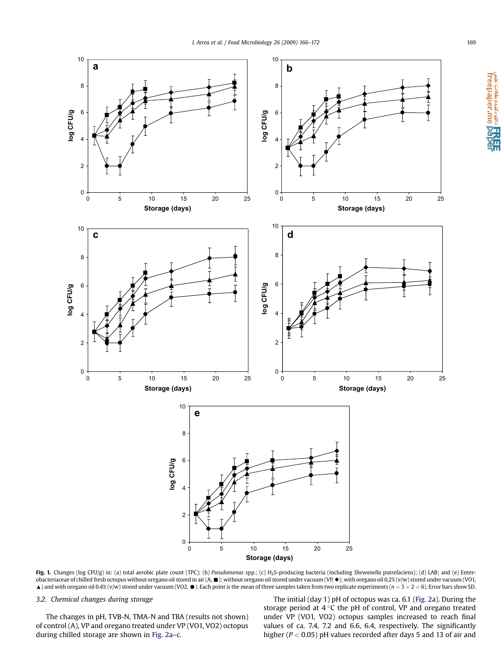<span id="page-3-0"></span>

Fig. 1. Changes (log CFU/g) in: (a) total aerobic plate count (TPC); (b) Pseudomonas spp.; (c) H<sub>2</sub>S-producing bacteria (including Shewanella putrefaciens); (d) LAB; and (e) Enterobacteriaceae of chilled fresh octopus without oregano oil stored in air (A,  $\blacksquare$ ); without oregano oil stored under vacuum (VP,  $\blacklozenge$ ); with oregano oil 0.2% (v/w) stored under vacuum (VO1,  $\triangle$ ) and with oregano oil 0.4% (v/w) stored under vacuum (VO2,  $\bullet$ ). Each point is the mean of three samples taken from two replicate experiments (n = 3 × 2 = 6). Error bars show SD.

# 3.2. Chemical changes during storage

The changes in pH, TVB-N, TMA-N and TBA (results not shown) of control (A), VP and oregano treated under VP (VO1, VO2) octopus during chilled storage are shown in [Fig. 2a](#page-4-0)–c.

The initial (day 1) pH of octopus was ca. 6.1 [\(Fig. 2a](#page-4-0)). During the storage period at  $4^{\circ}$ C the pH of control, VP and oregano treated under VP (VO1, VO2) octopus samples increased to reach final values of ca. 7.4, 7.2 and 6.6, 6.4, respectively. The significantly higher ( $P < 0.05$ ) pH values recorded after days 5 and 13 of air and

a تا **HREE**<br>freepaper.me **pape**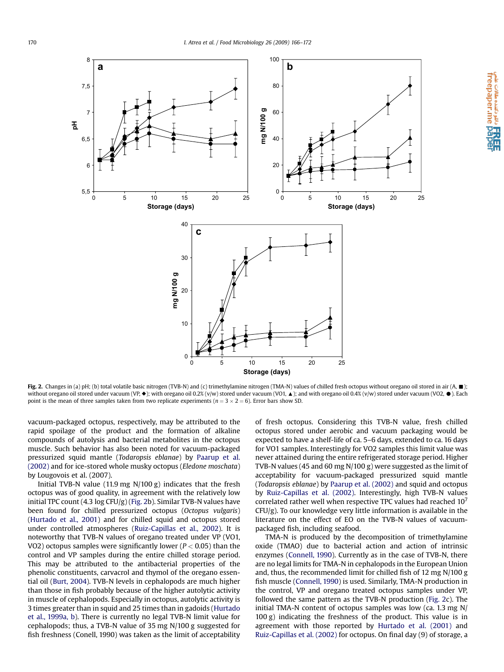<span id="page-4-0"></span>

Fig. 2. Changes in (a) pH; (b) total volatile basic nitrogen (TVB-N) and (c) trimethylamine nitrogen (TMA-N) values of chilled fresh octopus without oregano oil stored in air (A,  $\blacksquare$ ); without oregano oil stored under vacuum (VP,  $\blacklozenge$ ); with oregano oil 0.2% (v/w) stored under vacuum (VO1,  $\blacktriangle$ ); and with oregano oil 0.4% (v/w) stored under vacuum (VO2,  $\blacklozenge$ ). Each point is the mean of three samples taken from two replicate experiments ( $n = 3 \times 2 = 6$ ). Error bars show SD.

vacuum-packaged octopus, respectively, may be attributed to the rapid spoilage of the product and the formation of alkaline compounds of autolysis and bacterial metabolites in the octopus muscle. Such behavior has also been noted for vacuum-packaged pressurized squid mantle (Todaropsis eblanae) by [Paarup et al.](#page-6-0) [\(2002\)](#page-6-0) and for ice-stored whole musky octopus (Eledone moschata) by Lougovois et al. (2007).

Initial TVB-N value (11.9 mg N/100 g) indicates that the fresh octopus was of good quality, in agreement with the relatively low initial TPC count (4.3 log CFU/g) (Fig. 2b). Similar TVB-N values have been found for chilled pressurized octopus (Octopus vulgaris) ([Hurtado et al., 2001](#page-6-0)) and for chilled squid and octopus stored under controlled atmospheres ([Ruiz-Capillas et al., 2002](#page-6-0)). It is noteworthy that TVB-N values of oregano treated under VP (VO1, VO2) octopus samples were significantly lower ( $P < 0.05$ ) than the control and VP samples during the entire chilled storage period. This may be attributed to the antibacterial properties of the phenolic constituents, carvacrol and thymol of the oregano essential oil [\(Burt, 2004](#page-6-0)). TVB-N levels in cephalopods are much higher than those in fish probably because of the higher autolytic activity in muscle of cephalopods. Especially in octopus, autolytic activity is 3 times greater than in squid and 25 times than in gadoids ([Hurtado](#page-6-0) [et al., 1999a, b](#page-6-0)). There is currently no legal TVB-N limit value for cephalopods; thus, a TVB-N value of 35 mg N/100 g suggested for fish freshness (Conell, 1990) was taken as the limit of acceptability of fresh octopus. Considering this TVB-N value, fresh chilled octopus stored under aerobic and vacuum packaging would be expected to have a shelf-life of ca. 5–6 days, extended to ca. 16 days for VO1 samples. Interestingly for VO2 samples this limit value was never attained during the entire refrigerated storage period. Higher TVB-N values (45 and 60 mg N/100 g) were suggested as the limit of acceptability for vacuum-packaged pressurized squid mantle (Todaropsis eblanae) by [Paarup et al. \(2002\)](#page-6-0) and squid and octopus by [Ruiz-Capillas et al. \(2002\).](#page-6-0) Interestingly, high TVB-N values correlated rather well when respective TPC values had reached  $10<sup>7</sup>$ CFU/g). To our knowledge very little information is available in the literature on the effect of EO on the TVB-N values of vacuumpackaged fish, including seafood.

TMA-N is produced by the decomposition of trimethylamine oxide (TMAO) due to bacterial action and action of intrinsic enzymes [\(Connell, 1990](#page-6-0)). Currently as in the case of TVB-N, there are no legal limits for TMA-N in cephalopods in the European Union and, thus, the recommended limit for chilled fish of 12 mg N/100 g fish muscle ([Connell, 1990](#page-6-0)) is used. Similarly, TMA-N production in the control, VP and oregano treated octopus samples under VP, followed the same pattern as the TVB-N production (Fig. 2c). The initial TMA-N content of octopus samples was low (ca. 1.3 mg N/ 100 g) indicating the freshness of the product. This value is in agreement with those reported by [Hurtado et al. \(2001\)](#page-6-0) and [Ruiz-Capillas et al. \(2002\)](#page-6-0) for octopus. On final day (9) of storage, a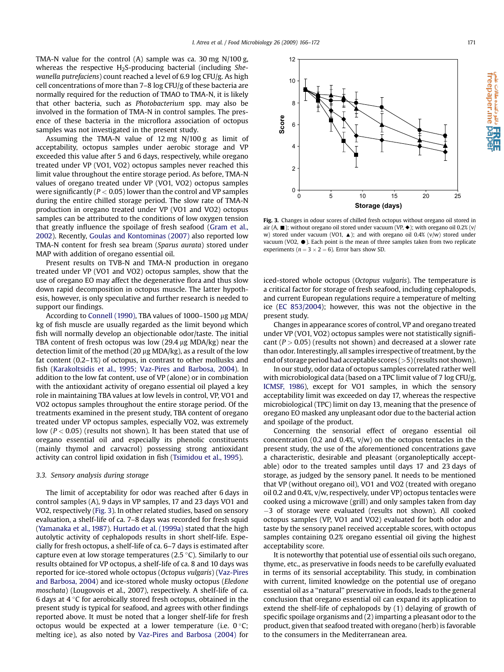TMA-N value for the control (A) sample was ca. 30 mg N/100 g, whereas the respective H<sub>2</sub>S-producing bacterial (including Shewanella putrefaciens) count reached a level of 6.9 log CFU/g. As high cell concentrations of more than 7–8 log CFU/g of these bacteria are normally required for the reduction of TMAO to TMA-N, it is likely that other bacteria, such as Photobacterium spp. may also be involved in the formation of TMA-N in control samples. The presence of these bacteria in the microflora association of octopus samples was not investigated in the present study.

Assuming the TMA-N value of 12 mg N/100 g as limit of acceptability, octopus samples under aerobic storage and VP exceeded this value after 5 and 6 days, respectively, while oregano treated under VP (VO1, VO2) octopus samples never reached this limit value throughout the entire storage period. As before, TMA-N values of oregano treated under VP (VO1, VO2) octopus samples were significantly ( $P < 0.05$ ) lower than the control and VP samples during the entire chilled storage period. The slow rate of TMA-N production in oregano treated under VP (VO1 and VO2) octopus samples can be attributed to the conditions of low oxygen tension that greatly influence the spoilage of fresh seafood [\(Gram et al.,](#page-6-0) [2002\)](#page-6-0). Recently, [Goulas and Kontominas \(2007\)](#page-6-0) also reported low TMA-N content for fresh sea bream (Sparus aurata) stored under MAP with addition of oregano essential oil.

Present results on TVB-N and TMA-N production in oregano treated under VP (VO1 and VO2) octopus samples, show that the use of oregano EO may affect the degenerative flora and thus slow down rapid decomposition in octopus muscle. The latter hypothesis, however, is only speculative and further research is needed to support our findings.

According to [Connell \(1990\),](#page-6-0) TBA values of 1000-1500 µg MDA/ kg of fish muscle are usually regarded as the limit beyond which fish will normally develop an objectionable odor/taste. The initial TBA content of fresh octopus was low  $(29.4 \,\mu g \text{ MDA/kg})$  near the detection limit of the method (20  $\mu$ g MDA/kg), as a result of the low fat content (0.2–1%) of octopus, in contrast to other mollusks and fish [\(Karakoltsidis et al., 1995; Vaz-Pires and Barbosa, 2004](#page-6-0)). In addition to the low fat content, use of VP (alone) or in combination with the antioxidant activity of oregano essential oil played a key role in maintaining TBA values at low levels in control, VP, VO1 and VO2 octopus samples throughout the entire storage period. Of the treatments examined in the present study, TBA content of oregano treated under VP octopus samples, especially VO2, was extremely low  $(P < 0.05)$  (results not shown). It has been stated that use of oregano essential oil and especially its phenolic constituents (mainly thymol and carvacrol) possessing strong antioxidant activity can control lipid oxidation in fish ([Tsimidou et al., 1995](#page-6-0)).

# 3.3. Sensory analysis during storage

The limit of acceptability for odor was reached after 6 days in control samples (A), 9 days in VP samples, 17 and 23 days VO1 and VO2, respectively (Fig. 3). In other related studies, based on sensory evaluation, a shelf-life of ca. 7–8 days was recorded for fresh squid ([Yamanaka et al., 1987\)](#page-6-0). [Hurtado et al. \(1999a\)](#page-6-0) stated that the high autolytic activity of cephalopods results in short shelf-life. Especially for fresh octopus, a shelf-life of ca. 6–7 days is estimated after capture even at low storage temperatures (2.5  $\degree$ C). Similarly to our results obtained for VP octopus, a shelf-life of ca. 8 and 10 days was reported for ice-stored whole octopus (Octopus vulgaris) [\(Vaz-Pires](#page-6-0) [and Barbosa, 2004](#page-6-0)) and ice-stored whole musky octopus (Eledone moschata) (Lougovois et al., 2007), respectively. A shelf-life of ca. 6 days at  $4\,^{\circ}$ C for aerobically stored fresh octopus, obtained in the present study is typical for seafood, and agrees with other findings reported above. It must be noted that a longer shelf-life for fresh octopus would be expected at a lower temperature (i.e.  $0^{\circ}$ C; melting ice), as also noted by [Vaz-Pires and Barbosa \(2004\)](#page-6-0) for



Fig. 3. Changes in odour scores of chilled fresh octopus without oregano oil stored in air (A,  $\blacksquare$ ); without oregano oil stored under vacuum (VP,  $\blacklozenge$ ); with oregano oil 0.2% (v/ w) stored under vacuum (VO1,  $\triangle$ ); and with oregano oil 0.4% (v/w) stored under vacuum (VO2,  $\bullet$ ). Each point is the mean of three samples taken from two replicate experiments ( $n = 3 \times 2 = 6$ ). Error bars show SD.

iced-stored whole octopus (Octopus vulgaris). The temperature is a critical factor for storage of fresh seafood, including cephalopods, and current European regulations require a temperature of melting ice [\(EC 853/2004\)](#page-6-0); however, this was not the objective in the present study.

Changes in appearance scores of control, VP and oregano treated under VP (VO1, VO2) octopus samples were not statistically significant  $(P > 0.05)$  (results not shown) and decreased at a slower rate than odor. Interestingly, all samples irrespective of treatment, by the end of storage period had acceptable scores (>5) (results not shown).

In our study, odor data of octopus samples correlated rather well with microbiological data (based on a TPC limit value of 7 log CFU/g, [ICMSF, 1986\)](#page-6-0), except for VO1 samples, in which the sensory acceptability limit was exceeded on day 17, whereas the respective microbiological (TPC) limit on day 13, meaning that the presence of oregano EO masked any unpleasant odor due to the bacterial action and spoilage of the product.

Concerning the sensorial effect of oregano essential oil concentration (0.2 and 0.4%,  $v/w$ ) on the octopus tentacles in the present study, the use of the aforementioned concentrations gave a characteristic, desirable and pleasant (organoleptically acceptable) odor to the treated samples until days 17 and 23 days of storage, as judged by the sensory panel. It needs to be mentioned that VP (without oregano oil), VO1 and VO2 (treated with oregano oil 0.2 and 0.4%, v/w, respectively, under VP) octopus tentacles were cooked using a microwave (grill) and only samples taken from day -3 of storage were evaluated (results not shown). All cooked octopus samples (VP, VO1 and VO2) evaluated for both odor and taste by the sensory panel received acceptable scores, with octopus samples containing 0.2% oregano essential oil giving the highest acceptability score.

It is noteworthy that potential use of essential oils such oregano, thyme, etc., as preservative in foods needs to be carefully evaluated in terms of its sensorial acceptability. This study, in combination with current, limited knowledge on the potential use of oregano essential oil as a ''natural'' preservative in foods, leads to the general conclusion that oregano essential oil can expand its application to extend the shelf-life of cephalopods by (1) delaying of growth of specific spoilage organisms and (2) imparting a pleasant odor to the product, given that seafood treated with oregano (herb) is favorable to the consumers in the Mediterranean area.

دائلو دکتنده مقالات علمی<br>Treepaper.me